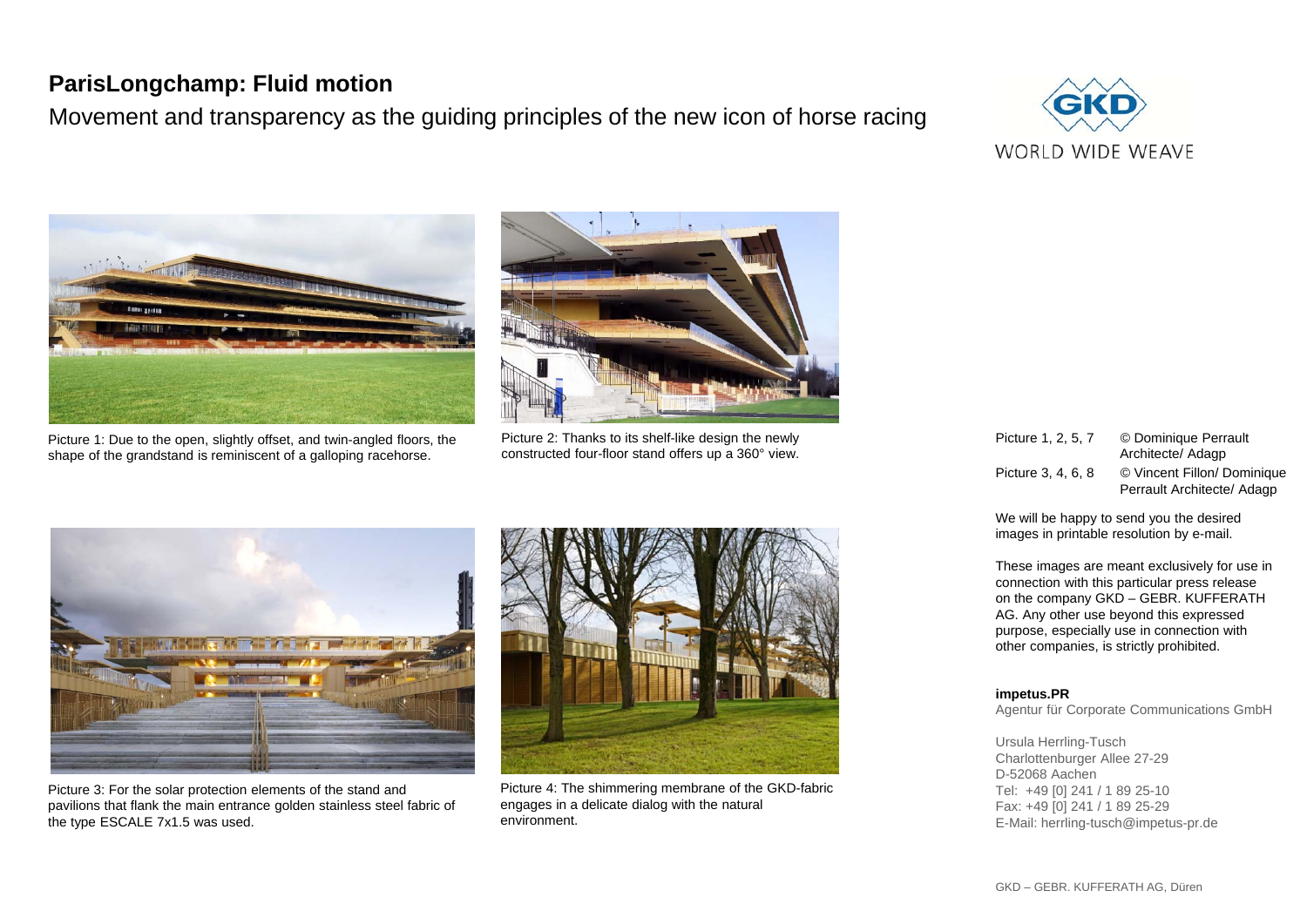## **ParisLongchamp: Fluid motion**

Movement and transparency as the guiding principles of the new icon of horse racing





Picture 1: Due to the open, slightly offset, and twin-angled floors, the shape of the grandstand is reminiscent of a galloping racehorse.



Picture 2: Thanks to its shelf-like design the newly constructed four-floor stand offers up a 360° view.



Picture 3: For the solar protection elements of the stand and pavilions that flank the main entrance golden stainless steel fabric of the type ESCALE 7x1.5 was used.



Picture 4: The shimmering membrane of the GKD-fabric engages in a delicate dialog with the natural environment.

| Picture 1, 2, 5, 7 | © Dominique Perrault<br>Architecte/ Adagp                 |
|--------------------|-----------------------------------------------------------|
| Picture 3, 4, 6, 8 | © Vincent Fillon/ Dominique<br>Perrault Architecte/ Adagp |

We will be happy to send you the desired images in printable resolution by e-mail.

These images are meant exclusively for use in connection with this particular press release on the company GKD – GEBR. KUFFERATH AG. Any other use beyond this expressed purpose, especially use in connection with other companies, is strictly prohibited.

## **impetus.PR**

Agentur für Corporate Communications GmbH

Ursula Herrling-Tusch Charlottenburger Allee 27-29 D-52068 Aachen Tel: +49 [0] 241 / 1 89 25-10 Fax: +49 [0] 241 / 1 89 25-29 E-Mail: herrling-tusch@impetus-pr.de